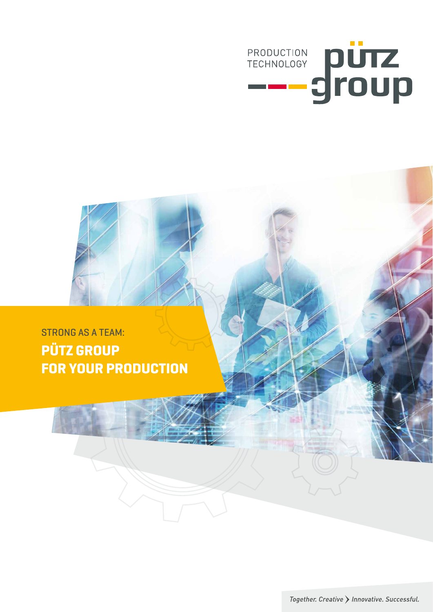

# STRONG AS A TEAM: **PÜTZ GROUP FOR YOUR PRODUCTION**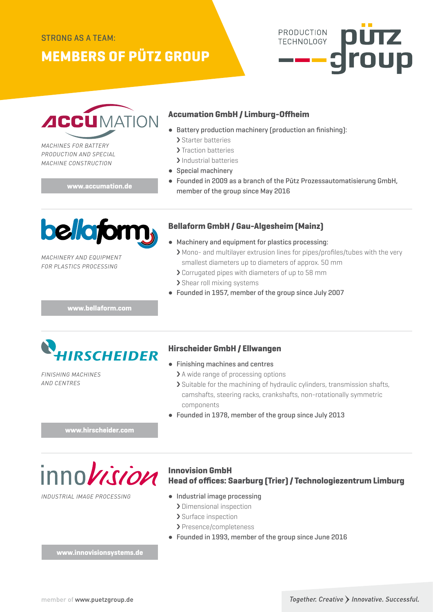## **MEMBERS OF PÜTZ GROUP**





*MACHINES FOR BATTERY PRODUCTION AND SPECIAL MACHINE CONSTRUCTION*

**www.accumation.de**

#### **Accumation GmbH / Limburg-Offheim**

- Battery production machinery (production an finishing):
	- › Starter batteries
	- > Traction batteries
	- > Industrial batteries
- Special machinery
- Founded in 2009 as a branch of the Pütz Prozessautomatisierung GmbH, member of the group since May 2016



#### **Bellaform GmbH / Gau-Algesheim (Mainz)**

- *MACHINERY AND EQUIPMENT FOR PLASTICS PROCESSING*
- Machinery and equipment for plastics processing: › Mono- and multilayer extrusion lines for pipes/profiles/tubes with the very smallest diameters up to diameters of approx. 50 mm
	- › Corrugated pipes with diameters of up to 58 mm › Shear roll mixing systems
- Founded in 1957, member of the group since July 2007

**www.bellaform.com**



### **Hirscheider GmbH / Ellwangen**

*FINISHING MACHINES AND CENTRES*

- Finishing machines and centres
	- > A wide range of processing options
	- › Suitable for the machining of hydraulic cylinders, transmission shafts, camshafts, steering racks, crankshafts, non-rotationally symmetric components
- Founded in 1978, member of the group since July 2013

**www.hirscheider.com**

 $inno*vision*$ 

*INDUSTRIAL IMAGE PROCESSING*

#### **Innovision GmbH Head of offices: Saarburg (Trier) / Technologiezentrum Limburg**

- Industrial image processing
	- › Dimensional inspection
	- › Surface inspection
	- › Presence/completeness
- Founded in 1993, member of the group since June 2016

**www.innovisionsystems.de**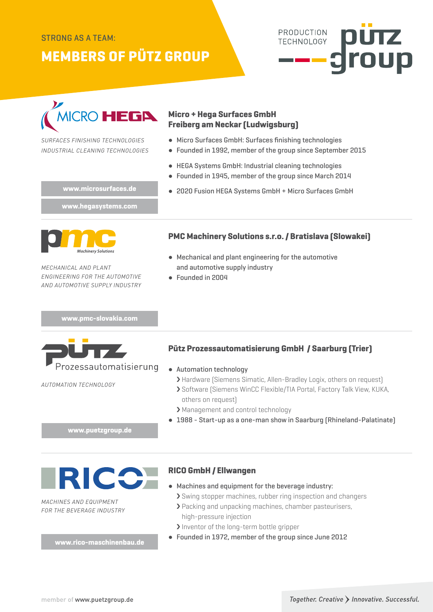#### STRONG AS A TEAM:

### **MEMBERS OF PÜTZ GROUP**





*SURFACES FINISHING TECHNOLOGIES INDUSTRIAL CLEANING TECHNOLOGIES*

#### **Micro + Hega Surfaces GmbH Freiberg am Neckar (Ludwigsburg)**

- Micro Surfaces GmbH: Surfaces finishing technologies
- Founded in 1992, member of the group since September 2015
- HEGA Systems GmbH: Industrial cleaning technologies
- Founded in 1945, member of the group since March 2014
- **www.microsurfaces.de** <br> **•** 2020 Fusion HEGA Systems GmbH + Micro Surfaces GmbH

**www.hegasystems.com**



*MECHANICAL AND PLANT ENGINEERING FOR THE AUTOMOTIVE AND AUTOMOTIVE SUPPLY INDUSTRY*

**www.pmc-slovakia.com**



*AUTOMATION TECHNOLOGY*

#### **PMC Machinery Solutions s.r.o. / Bratislava (Slowakei)**

- Mechanical and plant engineering for the automotive and automotive supply industry
- Founded in 2004

#### **Pütz Prozessautomatisierung GmbH / Saarburg (Trier)**

- Automation technology
	- > Hardware (Siemens Simatic, Allen-Bradley Logix, others on request)
	- › Software (Siemens WinCC Flexible/TIA Portal, Factory Talk View, KUKA, others on request)
	- › Management and control technology
- 1988 Start-up as a one-man show in Saarburg (Rhineland-Palatinate)

**www.puetzgroup.de**



*MACHINES AND EQUIPMENT FOR THE BEVERAGE INDUSTRY*

#### **RICO GmbH / Ellwangen**

- Machines and equipment for the beverage industry:
	- › Swing stopper machines, rubber ring inspection and changers
	- › Packing and unpacking machines, chamber pasteurisers, high-pressure injection
	- › Inventor of the long-term bottle gripper
- Founded in 1972, member of the group since June 2012 **www.rico-maschinenbau.de**